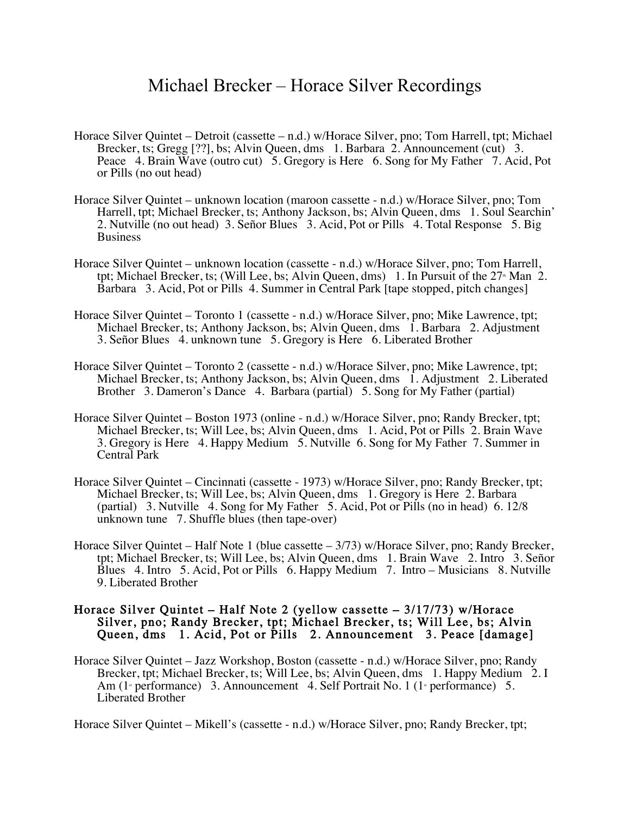## Michael Brecker – Horace Silver Recordings

- Horace Silver Quintet Detroit (cassette n.d.) w/Horace Silver, pno; Tom Harrell, tpt; Michael Brecker, ts; Gregg [??], bs; Alvin Queen, dms 1. Barbara 2. Announcement (cut) 3. Peace 4. Brain Wave (outro cut) 5. Gregory is Here 6. Song for My Father 7. Acid, Pot or Pills (no out head)
- Horace Silver Quintet unknown location (maroon cassette n.d.) w/Horace Silver, pno; Tom Harrell, tpt; Michael Brecker, ts; Anthony Jackson, bs; Alvin Queen, dms 1. Soul Searchin' 2. Nutville (no out head) 3. Señor Blues 3. Acid, Pot or Pills 4. Total Response 5. Big Business
- Horace Silver Quintet unknown location (cassette n.d.) w/Horace Silver, pno; Tom Harrell, tpt; Michael Brecker, ts; (Will Lee, bs; Alvin Queen, dms) 1. In Pursuit of the  $27<sup>th</sup>$  Man 2. Barbara 3. Acid, Pot or Pills 4. Summer in Central Park [tape stopped, pitch changes]
- Horace Silver Quintet Toronto 1 (cassette n.d.) w/Horace Silver, pno; Mike Lawrence, tpt; Michael Brecker, ts; Anthony Jackson, bs; Alvin Queen, dms 1. Barbara 2. Adjustment 3. Señor Blues 4. unknown tune 5. Gregory is Here 6. Liberated Brother
- Horace Silver Quintet Toronto 2 (cassette n.d.) w/Horace Silver, pno; Mike Lawrence, tpt; Michael Brecker, ts; Anthony Jackson, bs; Alvin Queen, dms 1. Adjustment 2. Liberated Brother 3. Dameron's Dance 4. Barbara (partial) 5. Song for My Father (partial)
- Horace Silver Quintet Boston 1973 (online n.d.) w/Horace Silver, pno; Randy Brecker, tpt; Michael Brecker, ts; Will Lee, bs; Alvin Queen, dms 1. Acid, Pot or Pills 2. Brain Wave 3. Gregory is Here 4. Happy Medium 5. Nutville 6. Song for My Father 7. Summer in Central Park
- Horace Silver Quintet Cincinnati (cassette 1973) w/Horace Silver, pno; Randy Brecker, tpt; Michael Brecker, ts; Will Lee, bs; Alvin Queen, dms 1. Gregory is Here 2. Barbara (partial) 3. Nutville 4. Song for My Father 5. Acid, Pot or Pills (no in head) 6. 12/8 unknown tune 7. Shuffle blues (then tape-over)
- Horace Silver Quintet Half Note 1 (blue cassette 3/73) w/Horace Silver, pno; Randy Brecker, tpt; Michael Brecker, ts; Will Lee, bs; Alvin Queen, dms 1. Brain Wave 2. Intro 3. Señor Blues 4. Intro 5. Acid, Pot or Pills 6. Happy Medium 7. Intro – Musicians 8. Nutville 9. Liberated Brother

## Horace Silver Quintet – Half Note 2 (yellow cassette – 3/17/73) w/Horace Silver, pno; Randy Brecker, tpt; Michael Brecker, ts; Will Lee, bs; Alvin Queen, dms 1. Acid, Pot or Pills 2. Announcement 3. Peace [damage]

Horace Silver Quintet – Jazz Workshop, Boston (cassette - n.d.) w/Horace Silver, pno; Randy Brecker, tpt; Michael Brecker, ts; Will Lee, bs; Alvin Queen, dms 1. Happy Medium 2. I Am (1<sup>st</sup> performance) 3. Announcement 4. Self Portrait No. 1 (1<sup>st</sup> performance) 5. Liberated Brother

Horace Silver Quintet – Mikell's (cassette - n.d.) w/Horace Silver, pno; Randy Brecker, tpt;